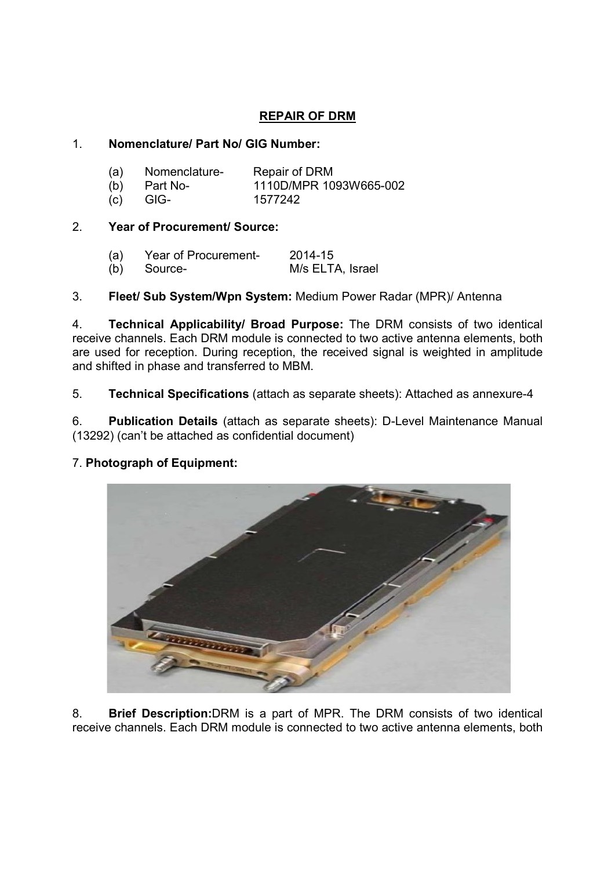# REPAIR OF DRM

# 1. Nomenclature/ Part No/ GIG Number:

| (a) | Nomenclature-  | Repair of DRM          |
|-----|----------------|------------------------|
|     | $(b)$ Part No- | 1110D/MPR 1093W665-002 |
|     | $(c)$ GIG-     | 1577242                |

# 2. Year of Procurement/ Source:

| (a) | Year of Procurement- | 2014-15          |
|-----|----------------------|------------------|
|     | (b) Source-          | M/s ELTA, Israel |

3. Fleet/ Sub System/Wpn System: Medium Power Radar (MPR)/ Antenna

4. Technical Applicability/ Broad Purpose: The DRM consists of two identical receive channels. Each DRM module is connected to two active antenna elements, both are used for reception. During reception, the received signal is weighted in amplitude and shifted in phase and transferred to MBM.

5. Technical Specifications (attach as separate sheets): Attached as annexure-4

6. Publication Details (attach as separate sheets): D-Level Maintenance Manual (13292) (can't be attached as confidential document)

# 7. Photograph of Equipment:



8. Brief Description:DRM is a part of MPR. The DRM consists of two identical receive channels. Each DRM module is connected to two active antenna elements, both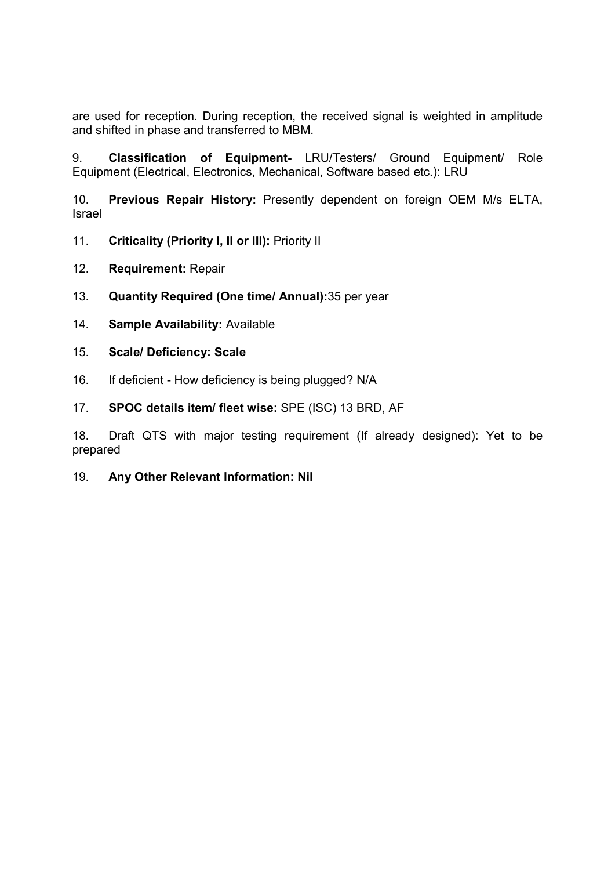are used for reception. During reception, the received signal is weighted in amplitude and shifted in phase and transferred to MBM.

9. Classification of Equipment- LRU/Testers/ Ground Equipment/ Role Equipment (Electrical, Electronics, Mechanical, Software based etc.): LRU

10. Previous Repair History: Presently dependent on foreign OEM M/s ELTA, Israel

- 11. Criticality (Priority I, II or III): Priority II
- 12. Requirement: Repair
- 13. Quantity Required (One time/ Annual):35 per year
- 14. Sample Availability: Available
- 15. Scale/ Deficiency: Scale
- 16. If deficient How deficiency is being plugged? N/A
- 17. SPOC details item/ fleet wise: SPE (ISC) 13 BRD, AF

18. Draft QTS with major testing requirement (If already designed): Yet to be prepared

19. Any Other Relevant Information: Nil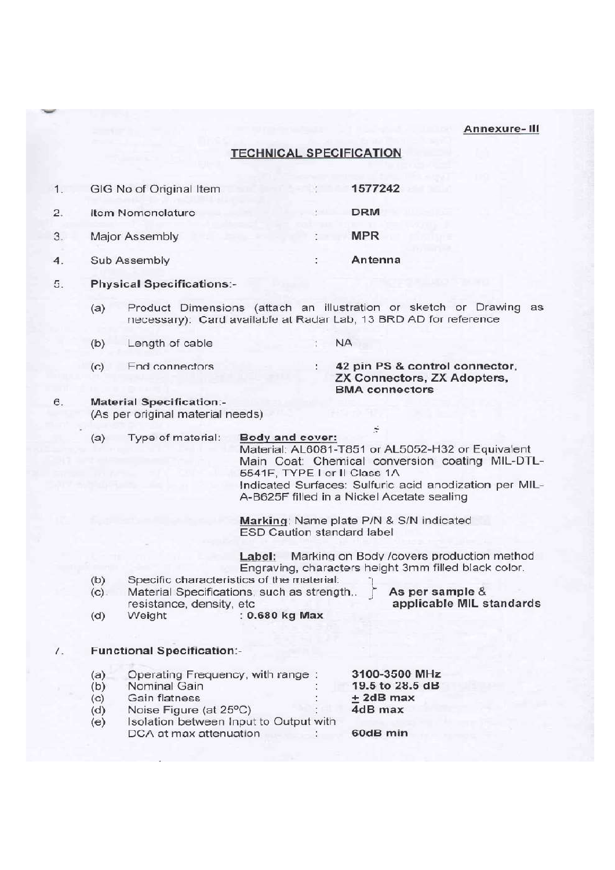### Annexure-III

## **TECHNICAL SPECIFICATION**

|               | GIG No of Original Item | 1577242    |
|---------------|-------------------------|------------|
| $\mathcal{P}$ | Item Nomenclature       | <b>DRM</b> |
|               | Major Assembly          | <b>MPR</b> |
|               | Sub Assembly            | Antenna    |

- 5. **Physical Specifications:-**
	- Product Dimensions (attach an illustration or sketch or Drawing as  $(a)$ necessary): Card available at Radar Lab, 13 BRD AD for reference
	- $(b)$ Length of cable **NA**
	- $(C)$ End connectors

42 pin PS & control connector, ZX Connectors, ZX Adopters, **BMA** connectors

#### $\mathbf{6}$ **Material Specification:-**

(As per original material needs)

 $(a)$ Type of material: Body and cover:

Material: AL6081-T851 or AL5052-H32 or Equivalent Main Coat: Chemical conversion coating MIL-DTL-5541F. TYPE I or II Class 1A Indicated Surfaces: Sulfuric acid anodization per MIL-A-B625F filled in a Nickel Acetate sealing

÷

Marking: Name plate P/N & S/N indicated ESD Caution standard label

Label: Marking on Body / covers production method Engraving, characters height 3mm filled black color.

As per sample &

applicable MIL standards

- Specific characteristics of the material:  $(b)$
- Material Specifications, such as strength,.  $(C)$ resistance, density, etc
- Weight : 0.680 kg Max  $(d)$

#### $\overline{7}$ . **Functional Specification:-**

- Operating Frequency, with range:  $(a)$
- $(b)$ Nominal Gain
- Gain flatness  $(c)$
- Noise Figure (at 25°C)  $(d)$
- Isolation between Input to Output with  $(e)$ DCA at max attenuation

3100-3500 MHz 19.5 to 28.5 dB  $±$  2dB max  $4dB$  max

60dB min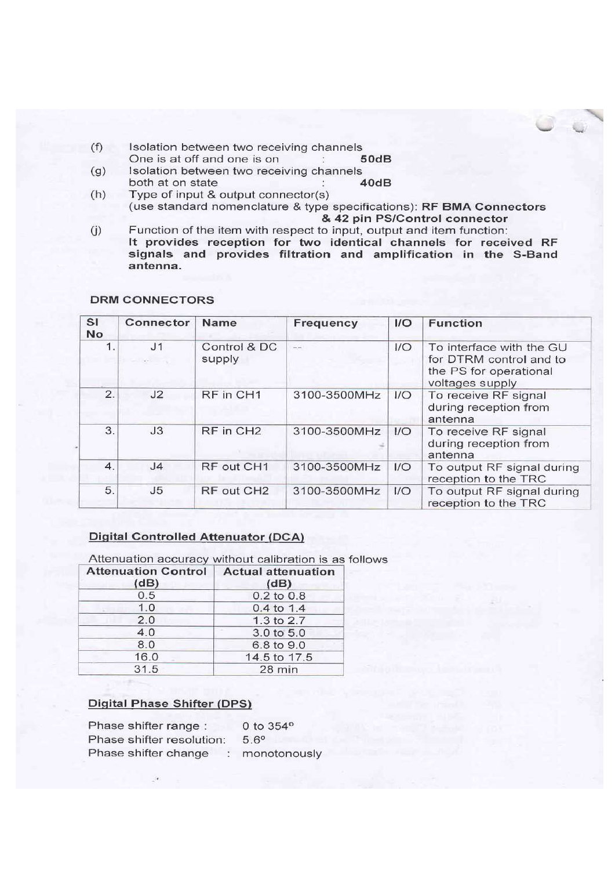- Isolation between two receiving channels  $(f)$ One is at off and one is on  $50dB$
- Isolation between two receiving channels  $(g)$ both at on state  $40dB$
- $(h)$ Type of input & output connector(s) (use standard nomenclature & type specifications): RF BMA Connectors & 42 pin PS/Control connector
- $(i)$ Function of the item with respect to input, output and item function: It provides reception for two identical channels for received RF signals and provides filtration and amplification in the S-Band antenna.

| <b>SI</b><br><b>No</b> | Connector                 | <b>Name</b>            | Frequency      | $_{\text{IO}}$ | <b>Function</b>                                                                                  |
|------------------------|---------------------------|------------------------|----------------|----------------|--------------------------------------------------------------------------------------------------|
| 1.                     | J <sub>1</sub><br>land in | Control & DC<br>supply | <b>ALCOHOL</b> | 1/O            | To interface with the GU<br>for DTRM control and to<br>the PS for operational<br>voltages supply |
| 2.                     | J2                        | RF in CH1              | 3100-3500MHz   | 1/O            | To receive RF signal<br>during reception from<br>antenna                                         |
| 3.                     | J3                        | RF in CH <sub>2</sub>  | 3100-3500MHz   | 1/O            | To receive RF signal<br>during reception from<br>antenna                                         |
| 4.                     | J <sub>4</sub>            | RF out CH1             | 3100-3500MHz   | 1/O            | To output RF signal during<br>reception to the TRC                                               |
| 5.                     | J <sub>5</sub>            | RF out CH <sub>2</sub> | 3100-3500MHz   | 1/O            | To output RF signal during<br>reception to the TRC                                               |

## **DRM CONNECTORS**

## **Digital Controlled Attenuator (DCA)**

| Attenuation Control   Actual attenuation<br>(dB) | Attenuation accuracy without calibration is as follows<br>(dB) |  |
|--------------------------------------------------|----------------------------------------------------------------|--|
| 0.5                                              | 0.2 to 0.8                                                     |  |
| 1.0                                              | $0.4$ to 1.4                                                   |  |
| 2.0                                              | 1.3 to 2.7                                                     |  |
| 4.0                                              | 3.0 to 5.0                                                     |  |
| 8.0                                              | 6.8 to 9.0                                                     |  |
| 16.0                                             | 14.5 to 17.5                                                   |  |
| 31.5                                             | $28 \text{ min}$                                               |  |

## **Digital Phase Shifter (DPS)**

| Phase shifter range:      | 0 to 354°    |
|---------------------------|--------------|
| Phase shifter resolution: | $5.6^\circ$  |
| Phase shifter change      | monotonously |